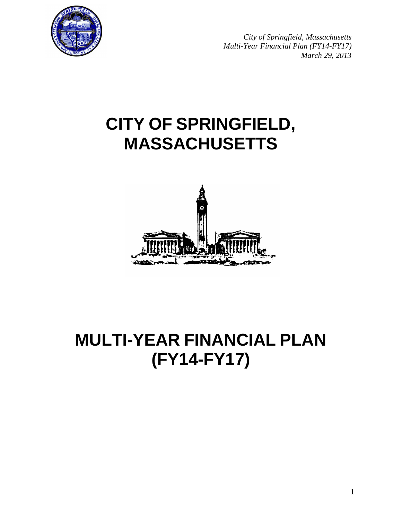

*City of Springfield, Massachusetts Multi-Year Financial Plan (FY14-FY17) March 29, 2013*

# **CITY OF SPRINGFIELD, MASSACHUSETTS**



# **MULTI-YEAR FINANCIAL PLAN (FY14-FY17)**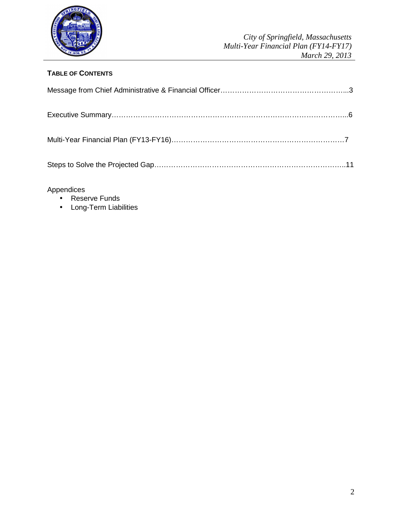

# **TABLE OF CONTENTS**

Appendices

- Reserve Funds
- Long-Term Liabilities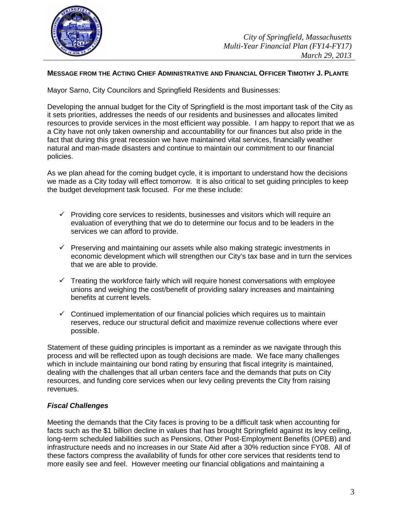

#### **MESSAGE FROM THE ACTING CHIEF ADMINISTRATIVE AND FINANCIAL OFFICER TIMOTHY J. PLANTE**

Mayor Sarno, City Councilors and Springfield Residents and Businesses:

Developing the annual budget for the City of Springfield is the most important task of the City as it sets priorities, addresses the needs of our residents and businesses and allocates limited resources to provide services in the most efficient way possible. I am happy to report that we as a City have not only taken ownership and accountability for our finances but also pride in the fact that during this great recession we have maintained vital services, financially weather natural and man-made disasters and continue to maintain our commitment to our financial policies.

As we plan ahead for the coming budget cycle, it is important to understand how the decisions we made as a City today will effect tomorrow. It is also critical to set guiding principles to keep the budget development task focused. For me these include:

- $\checkmark$  Providing core services to residents, businesses and visitors which will require an evaluation of everything that we do to determine our focus and to be leaders in the services we can afford to provide.
- $\checkmark$  Preserving and maintaining our assets while also making strategic investments in economic development which will strengthen our City's tax base and in turn the services that we are able to provide.
- $\checkmark$  Treating the workforce fairly which will require honest conversations with employee unions and weighing the cost/benefit of providing salary increases and maintaining benefits at current levels.
- $\checkmark$  Continued implementation of our financial policies which requires us to maintain reserves, reduce our structural deficit and maximize revenue collections where ever possible.

Statement of these guiding principles is important as a reminder as we navigate through this process and will be reflected upon as tough decisions are made. We face many challenges which in include maintaining our bond rating by ensuring that fiscal integrity is maintained, dealing with the challenges that all urban centers face and the demands that puts on City resources, and funding core services when our levy ceiling prevents the City from raising revenues.

#### **Fiscal Challenges**

Meeting the demands that the City faces is proving to be a difficult task when accounting for facts such as the \$1 billion decline in values that has brought Springfield against its levy ceiling, long-term scheduled liabilities such as Pensions, Other Post-Employment Benefits (OPEB) and infrastructure needs and no increases in our State Aid after a 30% reduction since FY08. All of these factors compress the availability of funds for other core services that residents tend to more easily see and feel. However meeting our financial obligations and maintaining a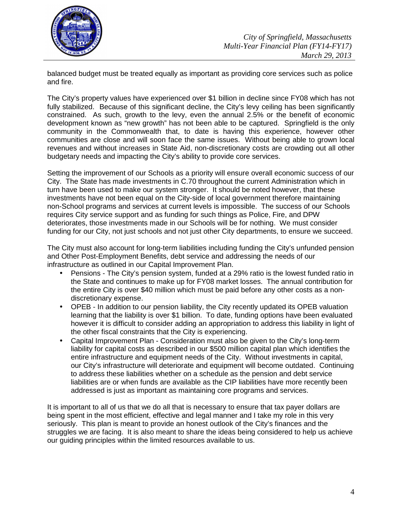

balanced budget must be treated equally as important as providing core services such as police and fire.

The City's property values have experienced over \$1 billion in decline since FY08 which has not fully stabilized. Because of this significant decline, the City's levy ceiling has been significantly constrained. As such, growth to the levy, even the annual 2.5% or the benefit of economic development known as "new growth" has not been able to be captured. Springfield is the only community in the Commonwealth that, to date is having this experience, however other communities are close and will soon face the same issues. Without being able to grown local revenues and without increases in State Aid, non-discretionary costs are crowding out all other budgetary needs and impacting the City's ability to provide core services.

Setting the improvement of our Schools as a priority will ensure overall economic success of our City. The State has made investments in C.70 throughout the current Administration which in turn have been used to make our system stronger. It should be noted however, that these investments have not been equal on the City-side of local government therefore maintaining non-School programs and services at current levels is impossible. The success of our Schools requires City service support and as funding for such things as Police, Fire, and DPW deteriorates, those investments made in our Schools will be for nothing. We must consider funding for our City, not just schools and not just other City departments, to ensure we succeed.

The City must also account for long-term liabilities including funding the City's unfunded pension and Other Post-Employment Benefits, debt service and addressing the needs of our infrastructure as outlined in our Capital Improvement Plan.

- Pensions The City's pension system, funded at a 29% ratio is the lowest funded ratio in the State and continues to make up for FY08 market losses. The annual contribution for the entire City is over \$40 million which must be paid before any other costs as a nondiscretionary expense.
- OPEB In addition to our pension liability, the City recently updated its OPEB valuation learning that the liability is over \$1 billion. To date, funding options have been evaluated however it is difficult to consider adding an appropriation to address this liability in light of the other fiscal constraints that the City is experiencing.
- Capital Improvement Plan Consideration must also be given to the City's long-term liability for capital costs as described in our \$500 million capital plan which identifies the entire infrastructure and equipment needs of the City. Without investments in capital, our City's infrastructure will deteriorate and equipment will become outdated. Continuing to address these liabilities whether on a schedule as the pension and debt service liabilities are or when funds are available as the CIP liabilities have more recently been addressed is just as important as maintaining core programs and services.

It is important to all of us that we do all that is necessary to ensure that tax payer dollars are being spent in the most efficient, effective and legal manner and I take my role in this very seriously. This plan is meant to provide an honest outlook of the City's finances and the struggles we are facing. It is also meant to share the ideas being considered to help us achieve our guiding principles within the limited resources available to us.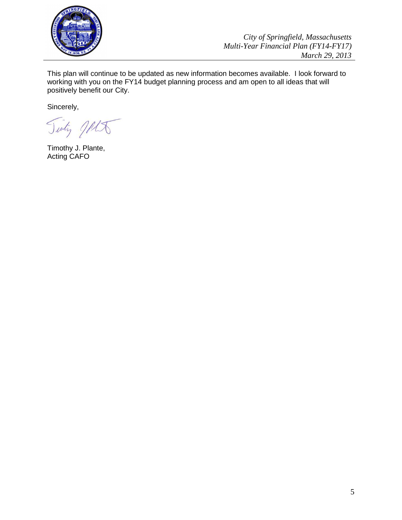

*City of Springfield, Massachusetts Multi-Year Financial Plan (FY14-FY17) March 29, 2013*

This plan will continue to be updated as new information becomes available. I look forward to working with you on the FY14 budget planning process and am open to all ideas that will positively benefit our City.

Sincerely,

Tinty JALT

Timothy J. Plante, Acting CAFO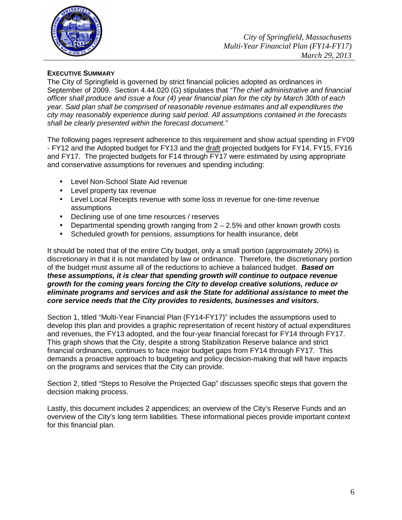

# **EXECUTIVE SUMMARY**

The City of Springfield is governed by strict financial policies adopted as ordinances in September of 2009. Section 4.44.020 (G) stipulates that "The chief administrative and financial officer shall produce and issue a four (4) year financial plan for the city by March 30th of each year. Said plan shall be comprised of reasonable revenue estimates and all expenditures the city may reasonably experience during said period. All assumptions contained in the forecasts shall be clearly presented within the forecast document."

The following pages represent adherence to this requirement and show actual spending in FY09 - FY12 and the Adopted budget for FY13 and the draft projected budgets for FY14, FY15, FY16 and FY17. The projected budgets for F14 through FY17 were estimated by using appropriate and conservative assumptions for revenues and spending including:

- Level Non-School State Aid revenue
- Level property tax revenue
- Level Local Receipts revenue with some loss in revenue for one-time revenue assumptions
- Declining use of one time resources / reserves
- Departmental spending growth ranging from 2 2.5% and other known growth costs
- Scheduled growth for pensions, assumptions for health insurance, debt

It should be noted that of the entire City budget, only a small portion (approximately 20%) is discretionary in that it is not mandated by law or ordinance. Therefore, the discretionary portion of the budget must assume all of the reductions to achieve a balanced budget. **Based on these assumptions, it is clear that spending growth will continue to outpace revenue growth for the coming years forcing the City to develop creative solutions, reduce or eliminate programs and services and ask the State for additional assistance to meet the core service needs that the City provides to residents, businesses and visitors.** 

Section 1, titled "Multi-Year Financial Plan (FY14-FY17)" includes the assumptions used to develop this plan and provides a graphic representation of recent history of actual expenditures and revenues, the FY13 adopted, and the four-year financial forecast for FY14 through FY17. This graph shows that the City, despite a strong Stabilization Reserve balance and strict financial ordinances, continues to face major budget gaps from FY14 through FY17. This demands a proactive approach to budgeting and policy decision-making that will have impacts on the programs and services that the City can provide.

Section 2, titled "Steps to Resolve the Projected Gap" discusses specific steps that govern the decision making process.

Lastly, this document includes 2 appendices; an overview of the City's Reserve Funds and an overview of the City's long term liabilities. These informational pieces provide important context for this financial plan.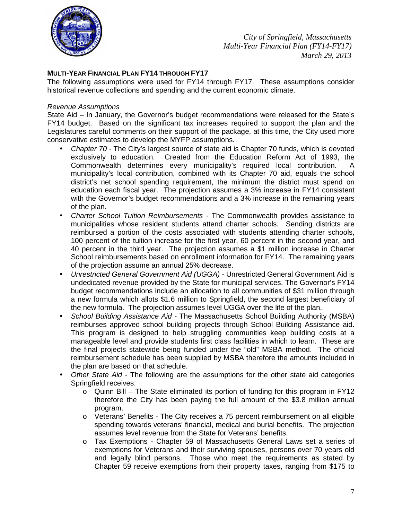

# **MULTI-YEAR FINANCIAL PLAN FY14 THROUGH FY17**

The following assumptions were used for FY14 through FY17. These assumptions consider historical revenue collections and spending and the current economic climate.

#### Revenue Assumptions

State Aid – In January, the Governor's budget recommendations were released for the State's FY14 budget. Based on the significant tax increases required to support the plan and the Legislatures careful comments on their support of the package, at this time, the City used more conservative estimates to develop the MYFP assumptions.

- Chapter 70 The City's largest source of state aid is Chapter 70 funds, which is devoted exclusively to education. Created from the Education Reform Act of 1993, the Commonwealth determines every municipality's required local contribution. A municipality's local contribution, combined with its Chapter 70 aid, equals the school district's net school spending requirement, the minimum the district must spend on education each fiscal year. The projection assumes a 3% increase in FY14 consistent with the Governor's budget recommendations and a 3% increase in the remaining years of the plan.
- Charter School Tuition Reimbursements The Commonwealth provides assistance to municipalities whose resident students attend charter schools. Sending districts are reimbursed a portion of the costs associated with students attending charter schools, 100 percent of the tuition increase for the first year, 60 percent in the second year, and 40 percent in the third year. The projection assumes a \$1 million increase in Charter School reimbursements based on enrollment information for FY14. The remaining years of the projection assume an annual 25% decrease.
- Unrestricted General Government Aid (UGGA) Unrestricted General Government Aid is undedicated revenue provided by the State for municipal services. The Governor's FY14 budget recommendations include an allocation to all communities of \$31 million through a new formula which allots \$1.6 million to Springfield, the second largest beneficiary of the new formula. The projection assumes level UGGA over the life of the plan.
- School Building Assistance Aid The Massachusetts School Building Authority (MSBA) reimburses approved school building projects through School Building Assistance aid. This program is designed to help struggling communities keep building costs at a manageable level and provide students first class facilities in which to learn. These are the final projects statewide being funded under the "old" MSBA method. The official reimbursement schedule has been supplied by MSBA therefore the amounts included in the plan are based on that schedule.
- Other State Aid The following are the assumptions for the other state aid categories Springfield receives:
	- $\circ$  Quinn Bill The State eliminated its portion of funding for this program in FY12 therefore the City has been paying the full amount of the \$3.8 million annual program.
	- $\circ$  Veterans' Benefits The City receives a 75 percent reimbursement on all eligible spending towards veterans' financial, medical and burial benefits. The projection assumes level revenue from the State for Veterans' benefits.
	- o Tax Exemptions Chapter 59 of Massachusetts General Laws set a series of exemptions for Veterans and their surviving spouses, persons over 70 years old and legally blind persons. Those who meet the requirements as stated by Chapter 59 receive exemptions from their property taxes, ranging from \$175 to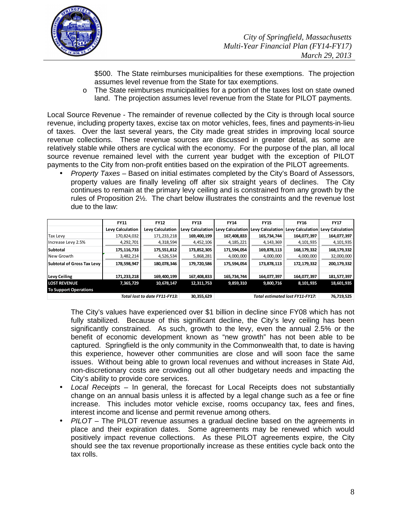

\$500. The State reimburses municipalities for these exemptions. The projection assumes level revenue from the State for tax exemptions.

o The State reimburses municipalities for a portion of the taxes lost on state owned land. The projection assumes level revenue from the State for PILOT payments.

Local Source Revenue - The remainder of revenue collected by the City is through local source revenue, including property taxes, excise tax on motor vehicles, fees, fines and payments-in-lieu of taxes. Over the last several years, the City made great strides in improving local source revenue collections. These revenue sources are discussed in greater detail, as some are relatively stable while others are cyclical with the economy. For the purpose of the plan, all local source revenue remained level with the current year budget with the exception of PILOT payments to the City from non-profit entities based on the expiration of the PILOT agreements.

• Property Taxes – Based on initial estimates completed by the City's Board of Assessors, property values are finally leveling off after six straight years of declines. The City continues to remain at the primary levy ceiling and is constrained from any growth by the rules of Proposition 2½. The chart below illustrates the constraints and the revenue lost due to the law:

|                                   | <b>FY11</b>                                 | <b>FY12</b>             | <b>FY13</b> | <b>FY14</b>                       | <b>FY15</b>             | <b>FY16</b> | <b>FY17</b>                       |  |
|-----------------------------------|---------------------------------------------|-------------------------|-------------|-----------------------------------|-------------------------|-------------|-----------------------------------|--|
|                                   | Levy Calculation                            | <b>Levy Calculation</b> |             | Levy Calculation Levy Calculation | <b>Levy Calculation</b> |             | Levy Calculation Levy Calculation |  |
| <b>Tax Levy</b>                   | 170,824,032                                 | 171,233,218             | 169,400,199 | 167,408,833                       | 165,734,744             | 164,077,397 | 164,077,397                       |  |
| Increase Levy 2.5%                | 4,292,701                                   | 4,318,594               | 4,452,106   | 4,185,221                         | 4,143,369               | 4,101,935   | 4,101,935                         |  |
| <b>Subtotal</b>                   | 175,116,733                                 | 175,551,812             | 173,852,305 | 171,594,054                       | 169,878,113             | 168,179,332 | 168,179,332                       |  |
| New Growth                        | 3,482,214                                   | 4,526,534               | 5,868,281   | 4,000,000                         | 4,000,000               | 4,000,000   | 32,000,000                        |  |
| <b>Subtotal of Gross Tax Levy</b> | 178,598,947                                 | 180,078,346             | 179,720,586 | 175,594,054                       | 173,878,113             | 172,179,332 | 200,179,332                       |  |
| <b>Levy Ceiling</b>               | 171,233,218                                 | 169,400,199             | 167,408,833 | 165,734,744                       | 164,077,397             | 164,077,397 | 181,577,397                       |  |
| <b>LOST REVENUE</b>               | 7,365,729                                   | 10,678,147              | 12,311,753  | 9,859,310                         | 9,800,716               | 8,101,935   | 18,601,935                        |  |
| <b>To Support Operations</b>      |                                             |                         |             |                                   |                         |             |                                   |  |
|                                   | Total lost to date FY11-FY13:<br>30,355,629 |                         | 76.719.525  |                                   |                         |             |                                   |  |

The City's values have experienced over \$1 billion in decline since FY08 which has not fully stabilized. Because of this significant decline, the City's levy ceiling has been significantly constrained. As such, growth to the levy, even the annual 2.5% or the benefit of economic development known as "new growth" has not been able to be captured. Springfield is the only community in the Commonwealth that, to date is having this experience, however other communities are close and will soon face the same issues. Without being able to grown local revenues and without increases in State Aid, non-discretionary costs are crowding out all other budgetary needs and impacting the City's ability to provide core services.

- Local Receipts  $-$  In general, the forecast for Local Receipts does not substantially change on an annual basis unless it is affected by a legal change such as a fee or fine increase. This includes motor vehicle excise, rooms occupancy tax, fees and fines, interest income and license and permit revenue among others.
- $PILOT The PILOT$  revenue assumes a gradual decline based on the agreements in place and their expiration dates. Some agreements may be renewed which would positively impact revenue collections. As these PILOT agreements expire, the City should see the tax revenue proportionally increase as these entities cycle back onto the tax rolls.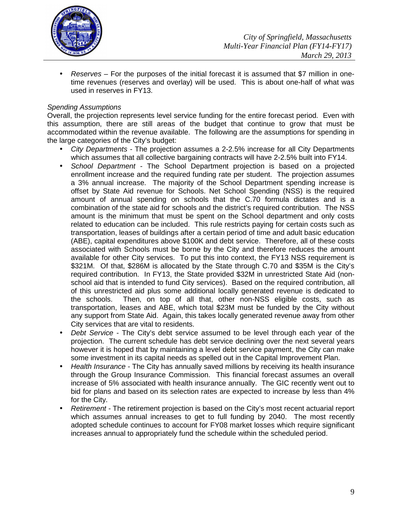

• Reserves – For the purposes of the initial forecast it is assumed that \$7 million in onetime revenues (reserves and overlay) will be used. This is about one-half of what was used in reserves in FY13.

### Spending Assumptions

Overall, the projection represents level service funding for the entire forecast period. Even with this assumption, there are still areas of the budget that continue to grow that must be accommodated within the revenue available. The following are the assumptions for spending in the large categories of the City's budget:

- City Departments The projection assumes a 2-2.5% increase for all City Departments which assumes that all collective bargaining contracts will have 2-2.5% built into FY14.
- School Department The School Department projection is based on a projected enrollment increase and the required funding rate per student. The projection assumes a 3% annual increase. The majority of the School Department spending increase is offset by State Aid revenue for Schools. Net School Spending (NSS) is the required amount of annual spending on schools that the C.70 formula dictates and is a combination of the state aid for schools and the district's required contribution. The NSS amount is the minimum that must be spent on the School department and only costs related to education can be included. This rule restricts paying for certain costs such as transportation, leases of buildings after a certain period of time and adult basic education (ABE), capital expenditures above \$100K and debt service. Therefore, all of these costs associated with Schools must be borne by the City and therefore reduces the amount available for other City services. To put this into context, the FY13 NSS requirement is \$321M. Of that, \$286M is allocated by the State through C.70 and \$35M is the City's required contribution. In FY13, the State provided \$32M in unrestricted State Aid (nonschool aid that is intended to fund City services). Based on the required contribution, all of this unrestricted aid plus some additional locally generated revenue is dedicated to the schools. Then, on top of all that, other non-NSS eligible costs, such as transportation, leases and ABE, which total \$23M must be funded by the City without any support from State Aid. Again, this takes locally generated revenue away from other City services that are vital to residents.
- Debt Service The City's debt service assumed to be level through each year of the projection. The current schedule has debt service declining over the next several years however it is hoped that by maintaining a level debt service payment, the City can make some investment in its capital needs as spelled out in the Capital Improvement Plan.
- Health Insurance The City has annually saved millions by receiving its health insurance through the Group Insurance Commission. This financial forecast assumes an overall increase of 5% associated with health insurance annually. The GIC recently went out to bid for plans and based on its selection rates are expected to increase by less than 4% for the City.
- Retirement The retirement projection is based on the City's most recent actuarial report which assumes annual increases to get to full funding by 2040. The most recently adopted schedule continues to account for FY08 market losses which require significant increases annual to appropriately fund the schedule within the scheduled period.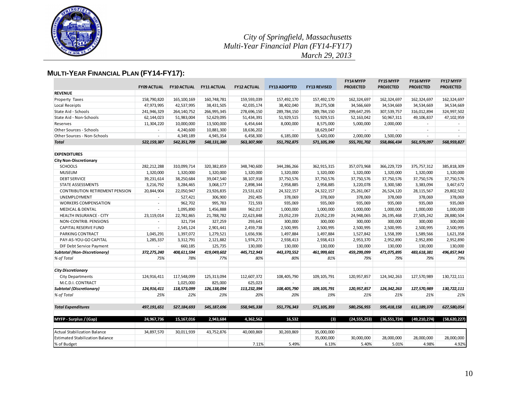

*City of Springfield, Massachusetts Multi-Year Financial Plan (FY14-FY17) March 29, 2013*

# **MULTI-YEAR FINANCIAL PLAN (FY14-FY17):**

| <b>REVENUE</b><br>162,324,697<br>Property Taxes<br>158,790,820<br>165, 100, 169<br>160,748,781<br>159,593,039<br>157,492,170<br>157,492,170<br>162, 324, 697<br>162, 324, 697<br>162, 324, 697<br>Local Receipts<br>47,973,995<br>42,537,995<br>38,431,505<br>42,035,174<br>38,402,040<br>39,275,508<br>34,566,669<br>34,534,669<br>34,534,669<br>34,534,669<br>278,696,150<br>289,784,150<br>State Aid - Schools<br>241,946,329<br>264, 140, 752<br>266,995,345<br>289,784,150<br>299,647,295<br>307,539,757<br>316,012,894<br>324,997,502<br>62,144,023<br>51,983,004<br>52,629,095<br>51,434,391<br>51,929,515<br>51,929,515<br>52,163,042<br>47,102,959<br>State Aid - Non-Schools<br>50,967,311<br>49,106,837<br>11,304,220<br>10,000,000<br>13,500,000<br>6,454,644<br>8,000,000<br>8,575,000<br>5,000,000<br>2,000,000<br>Reserves<br>Other Sources - Schools<br>18,629,047<br>4,240,600<br>10,881,300<br>18,636,202<br>$\sim$<br>$\overline{a}$<br>Other Sources - Non-Schools<br>4,349,189<br>4,945,354<br>6,458,300<br>6,185,000<br>5,420,000<br>2,000,000<br>1,500,000<br>$\overline{a}$<br><b>Total</b><br>522,159,387<br>542,351,709<br>548,131,380<br>563,307,900<br>551,792,875<br>571, 105, 390<br>555,701,702<br>558,866,434<br>561,979,097<br>568.959.827<br><b>EXPENDITURES</b><br><b>City Non-Discretionary</b><br>282, 212, 288<br>348,740,600<br>344,286,266<br>362,915,315<br>385,818,309<br><b>SCHOOLS</b><br>310,099,714<br>320,382,859<br>357,073,968<br>366, 229, 729<br>375, 757, 312<br><b>MUSEUM</b><br>1,320,000<br>1,320,000<br>1,320,000<br>1,320,000<br>1,320,000<br>1,320,000<br>1,320,000<br>1,320,000<br>1,320,000<br>1,320,000<br><b>DEBT SERVICE</b><br>39,231,614<br>38,250,684<br>39,047,540<br>38,107,918<br>37,750,576<br>37,750,576<br>37,750,576<br>37,750,576<br>37,750,576<br>37,750,576<br>2,898,344<br><b>STATE ASSESSMENTS</b><br>3,216,792<br>3,284,465<br>3,068,177<br>2,958,885<br>2,958,885<br>3,220,078<br>3,300,580<br>3,383,094<br>3,467,672<br>20,844,904<br>22,050,947<br>23,926,835<br>23,531,632<br>24,322,157<br>24, 322, 157<br>25,261,067<br>26,524,120<br>29,802,502<br><b>CONTRIBUTION RETIREMENT PENSION</b><br>28, 115, 567<br>292,405<br>378,069<br>378,069<br>378,069<br>378,069<br>UNEMPLOYMENT<br>527,421<br>306,900<br>378,069<br>378,069<br>$\overline{a}$<br>935,069<br>962,702<br>995,783<br>721,593<br>935,069<br>935,069<br>935,069<br>935,069<br>935,069<br><b>WORKERS COMPENSATION</b><br>$\overline{\phantom{a}}$<br><b>MEDICAL &amp; DENTAL</b><br>1,095,890<br>1,456,888<br>962,017<br>1,000,000<br>1,000,000<br>1,000,000<br>1,000,000<br>1,000,000<br>1,000,000<br>$\overline{a}$<br>23,119,014<br>22,782,865<br>21,788,782<br>22,623,848<br>23,052,239<br>23,052,239<br>24,948,065<br>27,505,242<br>28,880,504<br>HEALTH INSURANCE - CITY<br>26, 195, 468<br>327,259<br>293,641<br>300,000<br>300,000<br>NON-CONTRIB. PENSIONS<br>321,734<br>300,000<br>300,000<br>300,000<br>300,000<br>$\overline{a}$<br>2,545,124<br>2,901,441<br>2,459,738<br>2,500,995<br>2,500,995<br>2,500,995<br>2,500,995<br>2,500,995<br>2,500,995<br><b>CAPITAL RESERVE FUND</b><br>$\overline{a}$<br>1,397,072<br>1,656,936<br>PARKING CONTRACT<br>1,045,291<br>1,279,521<br>1,497,884<br>1,497,884<br>1,527,842<br>1,558,399<br>1,589,566<br>1,621,358<br>3,312,791<br>2,121,882<br>1,974,271<br>2,938,413<br>2,938,413<br>2,953,370<br>2,952,890<br>2,952,890<br>2,952,890<br>PAY-AS-YOU-GO CAPITAL<br>1,285,337<br>130,000<br>DIF Debt Service Payment<br>660,185<br>125,735<br>130,000<br>130,000<br>130,000<br>130,000<br>130,000<br>130,000<br>$\overline{a}$<br>372,275,240<br>408,611,594<br>419,049,602<br>445,712,943<br>443,370,552<br>461,999,601<br>459,299,099<br>471,075,895<br>483, 618, 381<br>496,857,943<br><b>Subtotal (Non-Discretionary)</b><br>75%<br>78%<br>77%<br>80%<br>80%<br>79%<br>79%<br>79%<br>% of Total<br>81%<br>79%<br><b>City Discretionary</b><br>124,916,411<br>117,548,099<br>112,607,372<br>108,405,790<br>124, 342, 263<br>130,722,111<br><b>City Departments</b><br>125,313,094<br>109, 105, 791<br>120,957,857<br>127,570,989<br>M.C.D.I. CONTRACT<br>1,025,000<br>825,000<br>625,023<br>$\sim$<br>$\overline{a}$<br>÷.<br>$\overline{a}$<br>÷.<br>$\overline{a}$<br><b>Subtotal (Discretionary)</b><br>124,916,411<br>118,573,099<br>113,232,394<br>108,405,790<br>109, 105, 791<br>120,957,857<br>124, 342, 263<br>127,570,989<br>130,722,111<br>126,138,094<br>25%<br>22%<br>23%<br>20%<br>20%<br>19%<br>21%<br>% of Total<br>21%<br>21%<br>21%<br><b>Total Expenditures</b><br>580,256,955<br>627.580.054<br>497,191,651<br>527,184,693<br>545,187,696<br>558,945,338<br>551,776,343<br>571, 105, 393<br>595, 418, 158<br>611, 189, 370<br>(3)<br>MYFP - Surplus / (Gap)<br>24,967,736<br>15,167,016<br>2,943,684<br>4,362,562<br>16.532<br>(24, 555, 253)<br>(36, 551, 724)<br>(49, 210, 274)<br>(58.620.227)<br><b>Actual Stabilization Balance</b><br>30,011,939<br>43,752,876<br>40,069,869<br>35,000,000<br>34,897,570<br>30,269,869<br>28,000,000<br>35,000,000<br>30,000,000<br>28,000,000<br>28,000,000<br><b>Estimated Stabilization Balance</b><br>7.11%<br>5.49%<br>6.13%<br>5.40%<br>5.01%<br>4.98%<br>4.92%<br>% of Budget |                    |                    |                    |                    | <b>FY14 MYFP</b>    | FY15 MYFP           | <b>FY16 MYFP</b> | FY17 MYFP        |                  |                  |
|----------------------------------------------------------------------------------------------------------------------------------------------------------------------------------------------------------------------------------------------------------------------------------------------------------------------------------------------------------------------------------------------------------------------------------------------------------------------------------------------------------------------------------------------------------------------------------------------------------------------------------------------------------------------------------------------------------------------------------------------------------------------------------------------------------------------------------------------------------------------------------------------------------------------------------------------------------------------------------------------------------------------------------------------------------------------------------------------------------------------------------------------------------------------------------------------------------------------------------------------------------------------------------------------------------------------------------------------------------------------------------------------------------------------------------------------------------------------------------------------------------------------------------------------------------------------------------------------------------------------------------------------------------------------------------------------------------------------------------------------------------------------------------------------------------------------------------------------------------------------------------------------------------------------------------------------------------------------------------------------------------------------------------------------------------------------------------------------------------------------------------------------------------------------------------------------------------------------------------------------------------------------------------------------------------------------------------------------------------------------------------------------------------------------------------------------------------------------------------------------------------------------------------------------------------------------------------------------------------------------------------------------------------------------------------------------------------------------------------------------------------------------------------------------------------------------------------------------------------------------------------------------------------------------------------------------------------------------------------------------------------------------------------------------------------------------------------------------------------------------------------------------------------------------------------------------------------------------------------------------------------------------------------------------------------------------------------------------------------------------------------------------------------------------------------------------------------------------------------------------------------------------------------------------------------------------------------------------------------------------------------------------------------------------------------------------------------------------------------------------------------------------------------------------------------------------------------------------------------------------------------------------------------------------------------------------------------------------------------------------------------------------------------------------------------------------------------------------------------------------------------------------------------------------------------------------------------------------------------------------------------------------------------------------------------------------------------------------------------------------------------------------------------------------------------------------------------------------------------------------------------------------------------------------------------------------------------------------------------------------------------------------------------------------------------------------------------------------------------------------------------------------------------------------------------------------------------------------------------------------------------------------------------------------------------------------------------------------------------------------------------------------------------------------------------------------------------------------------------------------------------------------------------------------------------------------------------------------------------------------------------|--------------------|--------------------|--------------------|--------------------|---------------------|---------------------|------------------|------------------|------------------|------------------|
|                                                                                                                                                                                                                                                                                                                                                                                                                                                                                                                                                                                                                                                                                                                                                                                                                                                                                                                                                                                                                                                                                                                                                                                                                                                                                                                                                                                                                                                                                                                                                                                                                                                                                                                                                                                                                                                                                                                                                                                                                                                                                                                                                                                                                                                                                                                                                                                                                                                                                                                                                                                                                                                                                                                                                                                                                                                                                                                                                                                                                                                                                                                                                                                                                                                                                                                                                                                                                                                                                                                                                                                                                                                                                                                                                                                                                                                                                                                                                                                                                                                                                                                                                                                                                                                                                                                                                                                                                                                                                                                                                                                                                                                                                                                                                                                                                                                                                                                                                                                                                                                                                                                                                                                                                                                          | <b>FY09 ACTUAL</b> | <b>FY10 ACTUAL</b> | <b>FY11 ACTUAL</b> | <b>FY12 ACTUAL</b> | <b>FY13 ADOPTED</b> | <b>FY13 REVISED</b> | <b>PROJECTED</b> | <b>PROJECTED</b> | <b>PROJECTED</b> | <b>PROJECTED</b> |
|                                                                                                                                                                                                                                                                                                                                                                                                                                                                                                                                                                                                                                                                                                                                                                                                                                                                                                                                                                                                                                                                                                                                                                                                                                                                                                                                                                                                                                                                                                                                                                                                                                                                                                                                                                                                                                                                                                                                                                                                                                                                                                                                                                                                                                                                                                                                                                                                                                                                                                                                                                                                                                                                                                                                                                                                                                                                                                                                                                                                                                                                                                                                                                                                                                                                                                                                                                                                                                                                                                                                                                                                                                                                                                                                                                                                                                                                                                                                                                                                                                                                                                                                                                                                                                                                                                                                                                                                                                                                                                                                                                                                                                                                                                                                                                                                                                                                                                                                                                                                                                                                                                                                                                                                                                                          |                    |                    |                    |                    |                     |                     |                  |                  |                  |                  |
|                                                                                                                                                                                                                                                                                                                                                                                                                                                                                                                                                                                                                                                                                                                                                                                                                                                                                                                                                                                                                                                                                                                                                                                                                                                                                                                                                                                                                                                                                                                                                                                                                                                                                                                                                                                                                                                                                                                                                                                                                                                                                                                                                                                                                                                                                                                                                                                                                                                                                                                                                                                                                                                                                                                                                                                                                                                                                                                                                                                                                                                                                                                                                                                                                                                                                                                                                                                                                                                                                                                                                                                                                                                                                                                                                                                                                                                                                                                                                                                                                                                                                                                                                                                                                                                                                                                                                                                                                                                                                                                                                                                                                                                                                                                                                                                                                                                                                                                                                                                                                                                                                                                                                                                                                                                          |                    |                    |                    |                    |                     |                     |                  |                  |                  |                  |
|                                                                                                                                                                                                                                                                                                                                                                                                                                                                                                                                                                                                                                                                                                                                                                                                                                                                                                                                                                                                                                                                                                                                                                                                                                                                                                                                                                                                                                                                                                                                                                                                                                                                                                                                                                                                                                                                                                                                                                                                                                                                                                                                                                                                                                                                                                                                                                                                                                                                                                                                                                                                                                                                                                                                                                                                                                                                                                                                                                                                                                                                                                                                                                                                                                                                                                                                                                                                                                                                                                                                                                                                                                                                                                                                                                                                                                                                                                                                                                                                                                                                                                                                                                                                                                                                                                                                                                                                                                                                                                                                                                                                                                                                                                                                                                                                                                                                                                                                                                                                                                                                                                                                                                                                                                                          |                    |                    |                    |                    |                     |                     |                  |                  |                  |                  |
|                                                                                                                                                                                                                                                                                                                                                                                                                                                                                                                                                                                                                                                                                                                                                                                                                                                                                                                                                                                                                                                                                                                                                                                                                                                                                                                                                                                                                                                                                                                                                                                                                                                                                                                                                                                                                                                                                                                                                                                                                                                                                                                                                                                                                                                                                                                                                                                                                                                                                                                                                                                                                                                                                                                                                                                                                                                                                                                                                                                                                                                                                                                                                                                                                                                                                                                                                                                                                                                                                                                                                                                                                                                                                                                                                                                                                                                                                                                                                                                                                                                                                                                                                                                                                                                                                                                                                                                                                                                                                                                                                                                                                                                                                                                                                                                                                                                                                                                                                                                                                                                                                                                                                                                                                                                          |                    |                    |                    |                    |                     |                     |                  |                  |                  |                  |
|                                                                                                                                                                                                                                                                                                                                                                                                                                                                                                                                                                                                                                                                                                                                                                                                                                                                                                                                                                                                                                                                                                                                                                                                                                                                                                                                                                                                                                                                                                                                                                                                                                                                                                                                                                                                                                                                                                                                                                                                                                                                                                                                                                                                                                                                                                                                                                                                                                                                                                                                                                                                                                                                                                                                                                                                                                                                                                                                                                                                                                                                                                                                                                                                                                                                                                                                                                                                                                                                                                                                                                                                                                                                                                                                                                                                                                                                                                                                                                                                                                                                                                                                                                                                                                                                                                                                                                                                                                                                                                                                                                                                                                                                                                                                                                                                                                                                                                                                                                                                                                                                                                                                                                                                                                                          |                    |                    |                    |                    |                     |                     |                  |                  |                  |                  |
|                                                                                                                                                                                                                                                                                                                                                                                                                                                                                                                                                                                                                                                                                                                                                                                                                                                                                                                                                                                                                                                                                                                                                                                                                                                                                                                                                                                                                                                                                                                                                                                                                                                                                                                                                                                                                                                                                                                                                                                                                                                                                                                                                                                                                                                                                                                                                                                                                                                                                                                                                                                                                                                                                                                                                                                                                                                                                                                                                                                                                                                                                                                                                                                                                                                                                                                                                                                                                                                                                                                                                                                                                                                                                                                                                                                                                                                                                                                                                                                                                                                                                                                                                                                                                                                                                                                                                                                                                                                                                                                                                                                                                                                                                                                                                                                                                                                                                                                                                                                                                                                                                                                                                                                                                                                          |                    |                    |                    |                    |                     |                     |                  |                  |                  |                  |
|                                                                                                                                                                                                                                                                                                                                                                                                                                                                                                                                                                                                                                                                                                                                                                                                                                                                                                                                                                                                                                                                                                                                                                                                                                                                                                                                                                                                                                                                                                                                                                                                                                                                                                                                                                                                                                                                                                                                                                                                                                                                                                                                                                                                                                                                                                                                                                                                                                                                                                                                                                                                                                                                                                                                                                                                                                                                                                                                                                                                                                                                                                                                                                                                                                                                                                                                                                                                                                                                                                                                                                                                                                                                                                                                                                                                                                                                                                                                                                                                                                                                                                                                                                                                                                                                                                                                                                                                                                                                                                                                                                                                                                                                                                                                                                                                                                                                                                                                                                                                                                                                                                                                                                                                                                                          |                    |                    |                    |                    |                     |                     |                  |                  |                  |                  |
|                                                                                                                                                                                                                                                                                                                                                                                                                                                                                                                                                                                                                                                                                                                                                                                                                                                                                                                                                                                                                                                                                                                                                                                                                                                                                                                                                                                                                                                                                                                                                                                                                                                                                                                                                                                                                                                                                                                                                                                                                                                                                                                                                                                                                                                                                                                                                                                                                                                                                                                                                                                                                                                                                                                                                                                                                                                                                                                                                                                                                                                                                                                                                                                                                                                                                                                                                                                                                                                                                                                                                                                                                                                                                                                                                                                                                                                                                                                                                                                                                                                                                                                                                                                                                                                                                                                                                                                                                                                                                                                                                                                                                                                                                                                                                                                                                                                                                                                                                                                                                                                                                                                                                                                                                                                          |                    |                    |                    |                    |                     |                     |                  |                  |                  |                  |
|                                                                                                                                                                                                                                                                                                                                                                                                                                                                                                                                                                                                                                                                                                                                                                                                                                                                                                                                                                                                                                                                                                                                                                                                                                                                                                                                                                                                                                                                                                                                                                                                                                                                                                                                                                                                                                                                                                                                                                                                                                                                                                                                                                                                                                                                                                                                                                                                                                                                                                                                                                                                                                                                                                                                                                                                                                                                                                                                                                                                                                                                                                                                                                                                                                                                                                                                                                                                                                                                                                                                                                                                                                                                                                                                                                                                                                                                                                                                                                                                                                                                                                                                                                                                                                                                                                                                                                                                                                                                                                                                                                                                                                                                                                                                                                                                                                                                                                                                                                                                                                                                                                                                                                                                                                                          |                    |                    |                    |                    |                     |                     |                  |                  |                  |                  |
|                                                                                                                                                                                                                                                                                                                                                                                                                                                                                                                                                                                                                                                                                                                                                                                                                                                                                                                                                                                                                                                                                                                                                                                                                                                                                                                                                                                                                                                                                                                                                                                                                                                                                                                                                                                                                                                                                                                                                                                                                                                                                                                                                                                                                                                                                                                                                                                                                                                                                                                                                                                                                                                                                                                                                                                                                                                                                                                                                                                                                                                                                                                                                                                                                                                                                                                                                                                                                                                                                                                                                                                                                                                                                                                                                                                                                                                                                                                                                                                                                                                                                                                                                                                                                                                                                                                                                                                                                                                                                                                                                                                                                                                                                                                                                                                                                                                                                                                                                                                                                                                                                                                                                                                                                                                          |                    |                    |                    |                    |                     |                     |                  |                  |                  |                  |
|                                                                                                                                                                                                                                                                                                                                                                                                                                                                                                                                                                                                                                                                                                                                                                                                                                                                                                                                                                                                                                                                                                                                                                                                                                                                                                                                                                                                                                                                                                                                                                                                                                                                                                                                                                                                                                                                                                                                                                                                                                                                                                                                                                                                                                                                                                                                                                                                                                                                                                                                                                                                                                                                                                                                                                                                                                                                                                                                                                                                                                                                                                                                                                                                                                                                                                                                                                                                                                                                                                                                                                                                                                                                                                                                                                                                                                                                                                                                                                                                                                                                                                                                                                                                                                                                                                                                                                                                                                                                                                                                                                                                                                                                                                                                                                                                                                                                                                                                                                                                                                                                                                                                                                                                                                                          |                    |                    |                    |                    |                     |                     |                  |                  |                  |                  |
|                                                                                                                                                                                                                                                                                                                                                                                                                                                                                                                                                                                                                                                                                                                                                                                                                                                                                                                                                                                                                                                                                                                                                                                                                                                                                                                                                                                                                                                                                                                                                                                                                                                                                                                                                                                                                                                                                                                                                                                                                                                                                                                                                                                                                                                                                                                                                                                                                                                                                                                                                                                                                                                                                                                                                                                                                                                                                                                                                                                                                                                                                                                                                                                                                                                                                                                                                                                                                                                                                                                                                                                                                                                                                                                                                                                                                                                                                                                                                                                                                                                                                                                                                                                                                                                                                                                                                                                                                                                                                                                                                                                                                                                                                                                                                                                                                                                                                                                                                                                                                                                                                                                                                                                                                                                          |                    |                    |                    |                    |                     |                     |                  |                  |                  |                  |
|                                                                                                                                                                                                                                                                                                                                                                                                                                                                                                                                                                                                                                                                                                                                                                                                                                                                                                                                                                                                                                                                                                                                                                                                                                                                                                                                                                                                                                                                                                                                                                                                                                                                                                                                                                                                                                                                                                                                                                                                                                                                                                                                                                                                                                                                                                                                                                                                                                                                                                                                                                                                                                                                                                                                                                                                                                                                                                                                                                                                                                                                                                                                                                                                                                                                                                                                                                                                                                                                                                                                                                                                                                                                                                                                                                                                                                                                                                                                                                                                                                                                                                                                                                                                                                                                                                                                                                                                                                                                                                                                                                                                                                                                                                                                                                                                                                                                                                                                                                                                                                                                                                                                                                                                                                                          |                    |                    |                    |                    |                     |                     |                  |                  |                  |                  |
|                                                                                                                                                                                                                                                                                                                                                                                                                                                                                                                                                                                                                                                                                                                                                                                                                                                                                                                                                                                                                                                                                                                                                                                                                                                                                                                                                                                                                                                                                                                                                                                                                                                                                                                                                                                                                                                                                                                                                                                                                                                                                                                                                                                                                                                                                                                                                                                                                                                                                                                                                                                                                                                                                                                                                                                                                                                                                                                                                                                                                                                                                                                                                                                                                                                                                                                                                                                                                                                                                                                                                                                                                                                                                                                                                                                                                                                                                                                                                                                                                                                                                                                                                                                                                                                                                                                                                                                                                                                                                                                                                                                                                                                                                                                                                                                                                                                                                                                                                                                                                                                                                                                                                                                                                                                          |                    |                    |                    |                    |                     |                     |                  |                  |                  |                  |
|                                                                                                                                                                                                                                                                                                                                                                                                                                                                                                                                                                                                                                                                                                                                                                                                                                                                                                                                                                                                                                                                                                                                                                                                                                                                                                                                                                                                                                                                                                                                                                                                                                                                                                                                                                                                                                                                                                                                                                                                                                                                                                                                                                                                                                                                                                                                                                                                                                                                                                                                                                                                                                                                                                                                                                                                                                                                                                                                                                                                                                                                                                                                                                                                                                                                                                                                                                                                                                                                                                                                                                                                                                                                                                                                                                                                                                                                                                                                                                                                                                                                                                                                                                                                                                                                                                                                                                                                                                                                                                                                                                                                                                                                                                                                                                                                                                                                                                                                                                                                                                                                                                                                                                                                                                                          |                    |                    |                    |                    |                     |                     |                  |                  |                  |                  |
|                                                                                                                                                                                                                                                                                                                                                                                                                                                                                                                                                                                                                                                                                                                                                                                                                                                                                                                                                                                                                                                                                                                                                                                                                                                                                                                                                                                                                                                                                                                                                                                                                                                                                                                                                                                                                                                                                                                                                                                                                                                                                                                                                                                                                                                                                                                                                                                                                                                                                                                                                                                                                                                                                                                                                                                                                                                                                                                                                                                                                                                                                                                                                                                                                                                                                                                                                                                                                                                                                                                                                                                                                                                                                                                                                                                                                                                                                                                                                                                                                                                                                                                                                                                                                                                                                                                                                                                                                                                                                                                                                                                                                                                                                                                                                                                                                                                                                                                                                                                                                                                                                                                                                                                                                                                          |                    |                    |                    |                    |                     |                     |                  |                  |                  |                  |
|                                                                                                                                                                                                                                                                                                                                                                                                                                                                                                                                                                                                                                                                                                                                                                                                                                                                                                                                                                                                                                                                                                                                                                                                                                                                                                                                                                                                                                                                                                                                                                                                                                                                                                                                                                                                                                                                                                                                                                                                                                                                                                                                                                                                                                                                                                                                                                                                                                                                                                                                                                                                                                                                                                                                                                                                                                                                                                                                                                                                                                                                                                                                                                                                                                                                                                                                                                                                                                                                                                                                                                                                                                                                                                                                                                                                                                                                                                                                                                                                                                                                                                                                                                                                                                                                                                                                                                                                                                                                                                                                                                                                                                                                                                                                                                                                                                                                                                                                                                                                                                                                                                                                                                                                                                                          |                    |                    |                    |                    |                     |                     |                  |                  |                  |                  |
|                                                                                                                                                                                                                                                                                                                                                                                                                                                                                                                                                                                                                                                                                                                                                                                                                                                                                                                                                                                                                                                                                                                                                                                                                                                                                                                                                                                                                                                                                                                                                                                                                                                                                                                                                                                                                                                                                                                                                                                                                                                                                                                                                                                                                                                                                                                                                                                                                                                                                                                                                                                                                                                                                                                                                                                                                                                                                                                                                                                                                                                                                                                                                                                                                                                                                                                                                                                                                                                                                                                                                                                                                                                                                                                                                                                                                                                                                                                                                                                                                                                                                                                                                                                                                                                                                                                                                                                                                                                                                                                                                                                                                                                                                                                                                                                                                                                                                                                                                                                                                                                                                                                                                                                                                                                          |                    |                    |                    |                    |                     |                     |                  |                  |                  |                  |
|                                                                                                                                                                                                                                                                                                                                                                                                                                                                                                                                                                                                                                                                                                                                                                                                                                                                                                                                                                                                                                                                                                                                                                                                                                                                                                                                                                                                                                                                                                                                                                                                                                                                                                                                                                                                                                                                                                                                                                                                                                                                                                                                                                                                                                                                                                                                                                                                                                                                                                                                                                                                                                                                                                                                                                                                                                                                                                                                                                                                                                                                                                                                                                                                                                                                                                                                                                                                                                                                                                                                                                                                                                                                                                                                                                                                                                                                                                                                                                                                                                                                                                                                                                                                                                                                                                                                                                                                                                                                                                                                                                                                                                                                                                                                                                                                                                                                                                                                                                                                                                                                                                                                                                                                                                                          |                    |                    |                    |                    |                     |                     |                  |                  |                  |                  |
|                                                                                                                                                                                                                                                                                                                                                                                                                                                                                                                                                                                                                                                                                                                                                                                                                                                                                                                                                                                                                                                                                                                                                                                                                                                                                                                                                                                                                                                                                                                                                                                                                                                                                                                                                                                                                                                                                                                                                                                                                                                                                                                                                                                                                                                                                                                                                                                                                                                                                                                                                                                                                                                                                                                                                                                                                                                                                                                                                                                                                                                                                                                                                                                                                                                                                                                                                                                                                                                                                                                                                                                                                                                                                                                                                                                                                                                                                                                                                                                                                                                                                                                                                                                                                                                                                                                                                                                                                                                                                                                                                                                                                                                                                                                                                                                                                                                                                                                                                                                                                                                                                                                                                                                                                                                          |                    |                    |                    |                    |                     |                     |                  |                  |                  |                  |
|                                                                                                                                                                                                                                                                                                                                                                                                                                                                                                                                                                                                                                                                                                                                                                                                                                                                                                                                                                                                                                                                                                                                                                                                                                                                                                                                                                                                                                                                                                                                                                                                                                                                                                                                                                                                                                                                                                                                                                                                                                                                                                                                                                                                                                                                                                                                                                                                                                                                                                                                                                                                                                                                                                                                                                                                                                                                                                                                                                                                                                                                                                                                                                                                                                                                                                                                                                                                                                                                                                                                                                                                                                                                                                                                                                                                                                                                                                                                                                                                                                                                                                                                                                                                                                                                                                                                                                                                                                                                                                                                                                                                                                                                                                                                                                                                                                                                                                                                                                                                                                                                                                                                                                                                                                                          |                    |                    |                    |                    |                     |                     |                  |                  |                  |                  |
|                                                                                                                                                                                                                                                                                                                                                                                                                                                                                                                                                                                                                                                                                                                                                                                                                                                                                                                                                                                                                                                                                                                                                                                                                                                                                                                                                                                                                                                                                                                                                                                                                                                                                                                                                                                                                                                                                                                                                                                                                                                                                                                                                                                                                                                                                                                                                                                                                                                                                                                                                                                                                                                                                                                                                                                                                                                                                                                                                                                                                                                                                                                                                                                                                                                                                                                                                                                                                                                                                                                                                                                                                                                                                                                                                                                                                                                                                                                                                                                                                                                                                                                                                                                                                                                                                                                                                                                                                                                                                                                                                                                                                                                                                                                                                                                                                                                                                                                                                                                                                                                                                                                                                                                                                                                          |                    |                    |                    |                    |                     |                     |                  |                  |                  |                  |
|                                                                                                                                                                                                                                                                                                                                                                                                                                                                                                                                                                                                                                                                                                                                                                                                                                                                                                                                                                                                                                                                                                                                                                                                                                                                                                                                                                                                                                                                                                                                                                                                                                                                                                                                                                                                                                                                                                                                                                                                                                                                                                                                                                                                                                                                                                                                                                                                                                                                                                                                                                                                                                                                                                                                                                                                                                                                                                                                                                                                                                                                                                                                                                                                                                                                                                                                                                                                                                                                                                                                                                                                                                                                                                                                                                                                                                                                                                                                                                                                                                                                                                                                                                                                                                                                                                                                                                                                                                                                                                                                                                                                                                                                                                                                                                                                                                                                                                                                                                                                                                                                                                                                                                                                                                                          |                    |                    |                    |                    |                     |                     |                  |                  |                  |                  |
|                                                                                                                                                                                                                                                                                                                                                                                                                                                                                                                                                                                                                                                                                                                                                                                                                                                                                                                                                                                                                                                                                                                                                                                                                                                                                                                                                                                                                                                                                                                                                                                                                                                                                                                                                                                                                                                                                                                                                                                                                                                                                                                                                                                                                                                                                                                                                                                                                                                                                                                                                                                                                                                                                                                                                                                                                                                                                                                                                                                                                                                                                                                                                                                                                                                                                                                                                                                                                                                                                                                                                                                                                                                                                                                                                                                                                                                                                                                                                                                                                                                                                                                                                                                                                                                                                                                                                                                                                                                                                                                                                                                                                                                                                                                                                                                                                                                                                                                                                                                                                                                                                                                                                                                                                                                          |                    |                    |                    |                    |                     |                     |                  |                  |                  |                  |
|                                                                                                                                                                                                                                                                                                                                                                                                                                                                                                                                                                                                                                                                                                                                                                                                                                                                                                                                                                                                                                                                                                                                                                                                                                                                                                                                                                                                                                                                                                                                                                                                                                                                                                                                                                                                                                                                                                                                                                                                                                                                                                                                                                                                                                                                                                                                                                                                                                                                                                                                                                                                                                                                                                                                                                                                                                                                                                                                                                                                                                                                                                                                                                                                                                                                                                                                                                                                                                                                                                                                                                                                                                                                                                                                                                                                                                                                                                                                                                                                                                                                                                                                                                                                                                                                                                                                                                                                                                                                                                                                                                                                                                                                                                                                                                                                                                                                                                                                                                                                                                                                                                                                                                                                                                                          |                    |                    |                    |                    |                     |                     |                  |                  |                  |                  |
|                                                                                                                                                                                                                                                                                                                                                                                                                                                                                                                                                                                                                                                                                                                                                                                                                                                                                                                                                                                                                                                                                                                                                                                                                                                                                                                                                                                                                                                                                                                                                                                                                                                                                                                                                                                                                                                                                                                                                                                                                                                                                                                                                                                                                                                                                                                                                                                                                                                                                                                                                                                                                                                                                                                                                                                                                                                                                                                                                                                                                                                                                                                                                                                                                                                                                                                                                                                                                                                                                                                                                                                                                                                                                                                                                                                                                                                                                                                                                                                                                                                                                                                                                                                                                                                                                                                                                                                                                                                                                                                                                                                                                                                                                                                                                                                                                                                                                                                                                                                                                                                                                                                                                                                                                                                          |                    |                    |                    |                    |                     |                     |                  |                  |                  |                  |
|                                                                                                                                                                                                                                                                                                                                                                                                                                                                                                                                                                                                                                                                                                                                                                                                                                                                                                                                                                                                                                                                                                                                                                                                                                                                                                                                                                                                                                                                                                                                                                                                                                                                                                                                                                                                                                                                                                                                                                                                                                                                                                                                                                                                                                                                                                                                                                                                                                                                                                                                                                                                                                                                                                                                                                                                                                                                                                                                                                                                                                                                                                                                                                                                                                                                                                                                                                                                                                                                                                                                                                                                                                                                                                                                                                                                                                                                                                                                                                                                                                                                                                                                                                                                                                                                                                                                                                                                                                                                                                                                                                                                                                                                                                                                                                                                                                                                                                                                                                                                                                                                                                                                                                                                                                                          |                    |                    |                    |                    |                     |                     |                  |                  |                  |                  |
|                                                                                                                                                                                                                                                                                                                                                                                                                                                                                                                                                                                                                                                                                                                                                                                                                                                                                                                                                                                                                                                                                                                                                                                                                                                                                                                                                                                                                                                                                                                                                                                                                                                                                                                                                                                                                                                                                                                                                                                                                                                                                                                                                                                                                                                                                                                                                                                                                                                                                                                                                                                                                                                                                                                                                                                                                                                                                                                                                                                                                                                                                                                                                                                                                                                                                                                                                                                                                                                                                                                                                                                                                                                                                                                                                                                                                                                                                                                                                                                                                                                                                                                                                                                                                                                                                                                                                                                                                                                                                                                                                                                                                                                                                                                                                                                                                                                                                                                                                                                                                                                                                                                                                                                                                                                          |                    |                    |                    |                    |                     |                     |                  |                  |                  |                  |
|                                                                                                                                                                                                                                                                                                                                                                                                                                                                                                                                                                                                                                                                                                                                                                                                                                                                                                                                                                                                                                                                                                                                                                                                                                                                                                                                                                                                                                                                                                                                                                                                                                                                                                                                                                                                                                                                                                                                                                                                                                                                                                                                                                                                                                                                                                                                                                                                                                                                                                                                                                                                                                                                                                                                                                                                                                                                                                                                                                                                                                                                                                                                                                                                                                                                                                                                                                                                                                                                                                                                                                                                                                                                                                                                                                                                                                                                                                                                                                                                                                                                                                                                                                                                                                                                                                                                                                                                                                                                                                                                                                                                                                                                                                                                                                                                                                                                                                                                                                                                                                                                                                                                                                                                                                                          |                    |                    |                    |                    |                     |                     |                  |                  |                  |                  |
|                                                                                                                                                                                                                                                                                                                                                                                                                                                                                                                                                                                                                                                                                                                                                                                                                                                                                                                                                                                                                                                                                                                                                                                                                                                                                                                                                                                                                                                                                                                                                                                                                                                                                                                                                                                                                                                                                                                                                                                                                                                                                                                                                                                                                                                                                                                                                                                                                                                                                                                                                                                                                                                                                                                                                                                                                                                                                                                                                                                                                                                                                                                                                                                                                                                                                                                                                                                                                                                                                                                                                                                                                                                                                                                                                                                                                                                                                                                                                                                                                                                                                                                                                                                                                                                                                                                                                                                                                                                                                                                                                                                                                                                                                                                                                                                                                                                                                                                                                                                                                                                                                                                                                                                                                                                          |                    |                    |                    |                    |                     |                     |                  |                  |                  |                  |
|                                                                                                                                                                                                                                                                                                                                                                                                                                                                                                                                                                                                                                                                                                                                                                                                                                                                                                                                                                                                                                                                                                                                                                                                                                                                                                                                                                                                                                                                                                                                                                                                                                                                                                                                                                                                                                                                                                                                                                                                                                                                                                                                                                                                                                                                                                                                                                                                                                                                                                                                                                                                                                                                                                                                                                                                                                                                                                                                                                                                                                                                                                                                                                                                                                                                                                                                                                                                                                                                                                                                                                                                                                                                                                                                                                                                                                                                                                                                                                                                                                                                                                                                                                                                                                                                                                                                                                                                                                                                                                                                                                                                                                                                                                                                                                                                                                                                                                                                                                                                                                                                                                                                                                                                                                                          |                    |                    |                    |                    |                     |                     |                  |                  |                  |                  |
|                                                                                                                                                                                                                                                                                                                                                                                                                                                                                                                                                                                                                                                                                                                                                                                                                                                                                                                                                                                                                                                                                                                                                                                                                                                                                                                                                                                                                                                                                                                                                                                                                                                                                                                                                                                                                                                                                                                                                                                                                                                                                                                                                                                                                                                                                                                                                                                                                                                                                                                                                                                                                                                                                                                                                                                                                                                                                                                                                                                                                                                                                                                                                                                                                                                                                                                                                                                                                                                                                                                                                                                                                                                                                                                                                                                                                                                                                                                                                                                                                                                                                                                                                                                                                                                                                                                                                                                                                                                                                                                                                                                                                                                                                                                                                                                                                                                                                                                                                                                                                                                                                                                                                                                                                                                          |                    |                    |                    |                    |                     |                     |                  |                  |                  |                  |
|                                                                                                                                                                                                                                                                                                                                                                                                                                                                                                                                                                                                                                                                                                                                                                                                                                                                                                                                                                                                                                                                                                                                                                                                                                                                                                                                                                                                                                                                                                                                                                                                                                                                                                                                                                                                                                                                                                                                                                                                                                                                                                                                                                                                                                                                                                                                                                                                                                                                                                                                                                                                                                                                                                                                                                                                                                                                                                                                                                                                                                                                                                                                                                                                                                                                                                                                                                                                                                                                                                                                                                                                                                                                                                                                                                                                                                                                                                                                                                                                                                                                                                                                                                                                                                                                                                                                                                                                                                                                                                                                                                                                                                                                                                                                                                                                                                                                                                                                                                                                                                                                                                                                                                                                                                                          |                    |                    |                    |                    |                     |                     |                  |                  |                  |                  |
|                                                                                                                                                                                                                                                                                                                                                                                                                                                                                                                                                                                                                                                                                                                                                                                                                                                                                                                                                                                                                                                                                                                                                                                                                                                                                                                                                                                                                                                                                                                                                                                                                                                                                                                                                                                                                                                                                                                                                                                                                                                                                                                                                                                                                                                                                                                                                                                                                                                                                                                                                                                                                                                                                                                                                                                                                                                                                                                                                                                                                                                                                                                                                                                                                                                                                                                                                                                                                                                                                                                                                                                                                                                                                                                                                                                                                                                                                                                                                                                                                                                                                                                                                                                                                                                                                                                                                                                                                                                                                                                                                                                                                                                                                                                                                                                                                                                                                                                                                                                                                                                                                                                                                                                                                                                          |                    |                    |                    |                    |                     |                     |                  |                  |                  |                  |
|                                                                                                                                                                                                                                                                                                                                                                                                                                                                                                                                                                                                                                                                                                                                                                                                                                                                                                                                                                                                                                                                                                                                                                                                                                                                                                                                                                                                                                                                                                                                                                                                                                                                                                                                                                                                                                                                                                                                                                                                                                                                                                                                                                                                                                                                                                                                                                                                                                                                                                                                                                                                                                                                                                                                                                                                                                                                                                                                                                                                                                                                                                                                                                                                                                                                                                                                                                                                                                                                                                                                                                                                                                                                                                                                                                                                                                                                                                                                                                                                                                                                                                                                                                                                                                                                                                                                                                                                                                                                                                                                                                                                                                                                                                                                                                                                                                                                                                                                                                                                                                                                                                                                                                                                                                                          |                    |                    |                    |                    |                     |                     |                  |                  |                  |                  |
|                                                                                                                                                                                                                                                                                                                                                                                                                                                                                                                                                                                                                                                                                                                                                                                                                                                                                                                                                                                                                                                                                                                                                                                                                                                                                                                                                                                                                                                                                                                                                                                                                                                                                                                                                                                                                                                                                                                                                                                                                                                                                                                                                                                                                                                                                                                                                                                                                                                                                                                                                                                                                                                                                                                                                                                                                                                                                                                                                                                                                                                                                                                                                                                                                                                                                                                                                                                                                                                                                                                                                                                                                                                                                                                                                                                                                                                                                                                                                                                                                                                                                                                                                                                                                                                                                                                                                                                                                                                                                                                                                                                                                                                                                                                                                                                                                                                                                                                                                                                                                                                                                                                                                                                                                                                          |                    |                    |                    |                    |                     |                     |                  |                  |                  |                  |
|                                                                                                                                                                                                                                                                                                                                                                                                                                                                                                                                                                                                                                                                                                                                                                                                                                                                                                                                                                                                                                                                                                                                                                                                                                                                                                                                                                                                                                                                                                                                                                                                                                                                                                                                                                                                                                                                                                                                                                                                                                                                                                                                                                                                                                                                                                                                                                                                                                                                                                                                                                                                                                                                                                                                                                                                                                                                                                                                                                                                                                                                                                                                                                                                                                                                                                                                                                                                                                                                                                                                                                                                                                                                                                                                                                                                                                                                                                                                                                                                                                                                                                                                                                                                                                                                                                                                                                                                                                                                                                                                                                                                                                                                                                                                                                                                                                                                                                                                                                                                                                                                                                                                                                                                                                                          |                    |                    |                    |                    |                     |                     |                  |                  |                  |                  |
|                                                                                                                                                                                                                                                                                                                                                                                                                                                                                                                                                                                                                                                                                                                                                                                                                                                                                                                                                                                                                                                                                                                                                                                                                                                                                                                                                                                                                                                                                                                                                                                                                                                                                                                                                                                                                                                                                                                                                                                                                                                                                                                                                                                                                                                                                                                                                                                                                                                                                                                                                                                                                                                                                                                                                                                                                                                                                                                                                                                                                                                                                                                                                                                                                                                                                                                                                                                                                                                                                                                                                                                                                                                                                                                                                                                                                                                                                                                                                                                                                                                                                                                                                                                                                                                                                                                                                                                                                                                                                                                                                                                                                                                                                                                                                                                                                                                                                                                                                                                                                                                                                                                                                                                                                                                          |                    |                    |                    |                    |                     |                     |                  |                  |                  |                  |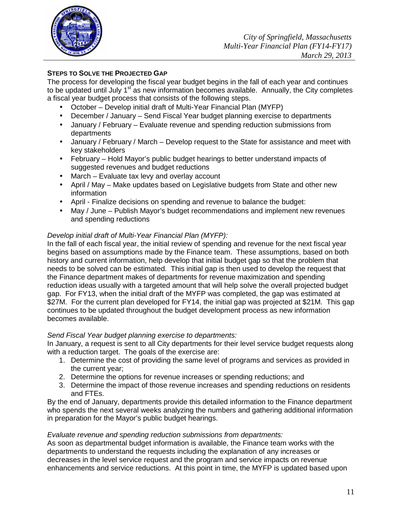

## **STEPS TO SOLVE THE PROJECTED GAP**

The process for developing the fiscal year budget begins in the fall of each year and continues to be updated until July 1<sup>st</sup> as new information becomes available. Annually, the City completes a fiscal year budget process that consists of the following steps.

- October Develop initial draft of Multi-Year Financial Plan (MYFP)
- December / January Send Fiscal Year budget planning exercise to departments
- January / February Evaluate revenue and spending reduction submissions from departments
- January / February / March Develop request to the State for assistance and meet with key stakeholders
- February Hold Mayor's public budget hearings to better understand impacts of suggested revenues and budget reductions
- March Evaluate tax levy and overlay account
- April / May Make updates based on Legislative budgets from State and other new information
- April Finalize decisions on spending and revenue to balance the budget:
- May / June Publish Mayor's budget recommendations and implement new revenues and spending reductions

## Develop initial draft of Multi-Year Financial Plan (MYFP):

In the fall of each fiscal year, the initial review of spending and revenue for the next fiscal year begins based on assumptions made by the Finance team. These assumptions, based on both history and current information, help develop that initial budget gap so that the problem that needs to be solved can be estimated. This initial gap is then used to develop the request that the Finance department makes of departments for revenue maximization and spending reduction ideas usually with a targeted amount that will help solve the overall projected budget gap. For FY13, when the initial draft of the MYFP was completed, the gap was estimated at \$27M. For the current plan developed for FY14, the initial gap was projected at \$21M. This gap continues to be updated throughout the budget development process as new information becomes available.

#### Send Fiscal Year budget planning exercise to departments:

In January, a request is sent to all City departments for their level service budget requests along with a reduction target. The goals of the exercise are:

- 1. Determine the cost of providing the same level of programs and services as provided in the current year;
- 2. Determine the options for revenue increases or spending reductions; and
- 3. Determine the impact of those revenue increases and spending reductions on residents and FTEs.

By the end of January, departments provide this detailed information to the Finance department who spends the next several weeks analyzing the numbers and gathering additional information in preparation for the Mayor's public budget hearings.

#### Evaluate revenue and spending reduction submissions from departments:

As soon as departmental budget information is available, the Finance team works with the departments to understand the requests including the explanation of any increases or decreases in the level service request and the program and service impacts on revenue enhancements and service reductions. At this point in time, the MYFP is updated based upon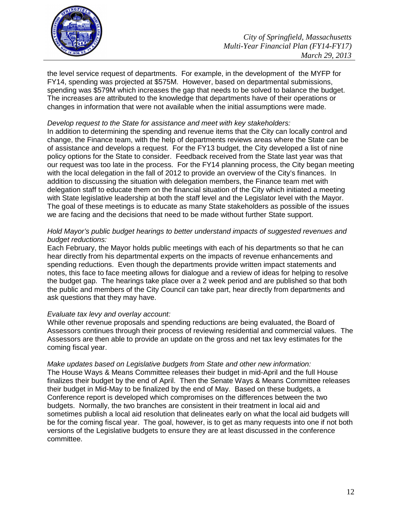

the level service request of departments. For example, in the development of the MYFP for FY14, spending was projected at \$575M. However, based on departmental submissions, spending was \$579M which increases the gap that needs to be solved to balance the budget. The increases are attributed to the knowledge that departments have of their operations or changes in information that were not available when the initial assumptions were made.

#### Develop request to the State for assistance and meet with key stakeholders:

In addition to determining the spending and revenue items that the City can locally control and change, the Finance team, with the help of departments reviews areas where the State can be of assistance and develops a request. For the FY13 budget, the City developed a list of nine policy options for the State to consider. Feedback received from the State last year was that our request was too late in the process. For the FY14 planning process, the City began meeting with the local delegation in the fall of 2012 to provide an overview of the City's finances. In addition to discussing the situation with delegation members, the Finance team met with delegation staff to educate them on the financial situation of the City which initiated a meeting with State legislative leadership at both the staff level and the Legislator level with the Mayor. The goal of these meetings is to educate as many State stakeholders as possible of the issues we are facing and the decisions that need to be made without further State support.

#### Hold Mayor's public budget hearings to better understand impacts of suggested revenues and budget reductions:

Each February, the Mayor holds public meetings with each of his departments so that he can hear directly from his departmental experts on the impacts of revenue enhancements and spending reductions. Even though the departments provide written impact statements and notes, this face to face meeting allows for dialogue and a review of ideas for helping to resolve the budget gap. The hearings take place over a 2 week period and are published so that both the public and members of the City Council can take part, hear directly from departments and ask questions that they may have.

#### Evaluate tax levy and overlay account:

While other revenue proposals and spending reductions are being evaluated, the Board of Assessors continues through their process of reviewing residential and commercial values. The Assessors are then able to provide an update on the gross and net tax levy estimates for the coming fiscal year.

Make updates based on Legislative budgets from State and other new information: The House Ways & Means Committee releases their budget in mid-April and the full House finalizes their budget by the end of April. Then the Senate Ways & Means Committee releases their budget in Mid-May to be finalized by the end of May. Based on these budgets, a Conference report is developed which compromises on the differences between the two budgets. Normally, the two branches are consistent in their treatment in local aid and sometimes publish a local aid resolution that delineates early on what the local aid budgets will be for the coming fiscal year. The goal, however, is to get as many requests into one if not both versions of the Legislative budgets to ensure they are at least discussed in the conference committee.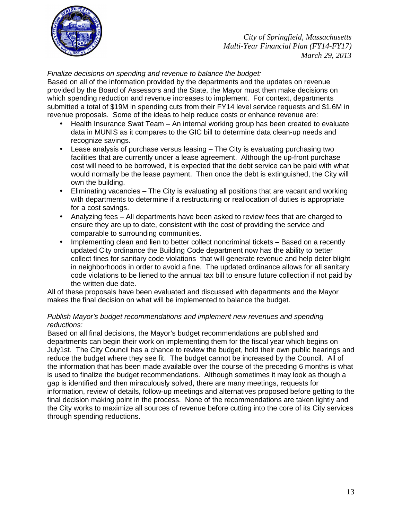

Finalize decisions on spending and revenue to balance the budget:

Based on all of the information provided by the departments and the updates on revenue provided by the Board of Assessors and the State, the Mayor must then make decisions on which spending reduction and revenue increases to implement. For context, departments submitted a total of \$19M in spending cuts from their FY14 level service requests and \$1.6M in revenue proposals. Some of the ideas to help reduce costs or enhance revenue are:

- Health Insurance Swat Team An internal working group has been created to evaluate data in MUNIS as it compares to the GIC bill to determine data clean-up needs and recognize savings.
- Lease analysis of purchase versus leasing The City is evaluating purchasing two facilities that are currently under a lease agreement. Although the up-front purchase cost will need to be borrowed, it is expected that the debt service can be paid with what would normally be the lease payment. Then once the debt is extinguished, the City will own the building.
- Eliminating vacancies The City is evaluating all positions that are vacant and working with departments to determine if a restructuring or reallocation of duties is appropriate for a cost savings.
- Analyzing fees All departments have been asked to review fees that are charged to ensure they are up to date, consistent with the cost of providing the service and comparable to surrounding communities.
- Implementing clean and lien to better collect noncriminal tickets Based on a recently updated City ordinance the Building Code department now has the ability to better collect fines for sanitary code violations that will generate revenue and help deter blight in neighborhoods in order to avoid a fine. The updated ordinance allows for all sanitary code violations to be liened to the annual tax bill to ensure future collection if not paid by the written due date.

All of these proposals have been evaluated and discussed with departments and the Mayor makes the final decision on what will be implemented to balance the budget.

## Publish Mayor's budget recommendations and implement new revenues and spending reductions:

Based on all final decisions, the Mayor's budget recommendations are published and departments can begin their work on implementing them for the fiscal year which begins on July1st. The City Council has a chance to review the budget, hold their own public hearings and reduce the budget where they see fit. The budget cannot be increased by the Council. All of the information that has been made available over the course of the preceding 6 months is what is used to finalize the budget recommendations. Although sometimes it may look as though a gap is identified and then miraculously solved, there are many meetings, requests for information, review of details, follow-up meetings and alternatives proposed before getting to the final decision making point in the process. None of the recommendations are taken lightly and the City works to maximize all sources of revenue before cutting into the core of its City services through spending reductions.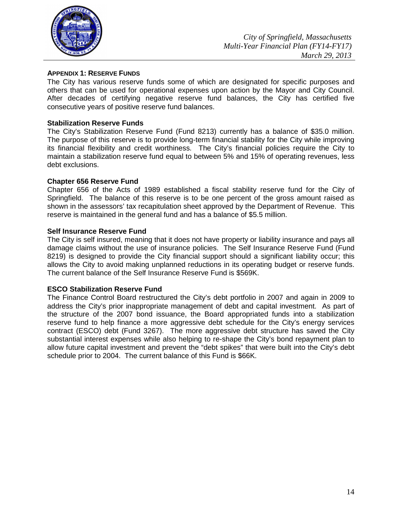

#### **APPENDIX 1: RESERVE FUNDS**

The City has various reserve funds some of which are designated for specific purposes and others that can be used for operational expenses upon action by the Mayor and City Council. After decades of certifying negative reserve fund balances, the City has certified five consecutive years of positive reserve fund balances.

#### **Stabilization Reserve Funds**

The City's Stabilization Reserve Fund (Fund 8213) currently has a balance of \$35.0 million. The purpose of this reserve is to provide long-term financial stability for the City while improving its financial flexibility and credit worthiness. The City's financial policies require the City to maintain a stabilization reserve fund equal to between 5% and 15% of operating revenues, less debt exclusions.

#### **Chapter 656 Reserve Fund**

Chapter 656 of the Acts of 1989 established a fiscal stability reserve fund for the City of Springfield. The balance of this reserve is to be one percent of the gross amount raised as shown in the assessors' tax recapitulation sheet approved by the Department of Revenue. This reserve is maintained in the general fund and has a balance of \$5.5 million.

#### **Self Insurance Reserve Fund**

The City is self insured, meaning that it does not have property or liability insurance and pays all damage claims without the use of insurance policies. The Self Insurance Reserve Fund (Fund 8219) is designed to provide the City financial support should a significant liability occur; this allows the City to avoid making unplanned reductions in its operating budget or reserve funds. The current balance of the Self Insurance Reserve Fund is \$569K.

#### **ESCO Stabilization Reserve Fund**

The Finance Control Board restructured the City's debt portfolio in 2007 and again in 2009 to address the City's prior inappropriate management of debt and capital investment. As part of the structure of the 2007 bond issuance, the Board appropriated funds into a stabilization reserve fund to help finance a more aggressive debt schedule for the City's energy services contract (ESCO) debt (Fund 3267). The more aggressive debt structure has saved the City substantial interest expenses while also helping to re-shape the City's bond repayment plan to allow future capital investment and prevent the "debt spikes" that were built into the City's debt schedule prior to 2004. The current balance of this Fund is \$66K.